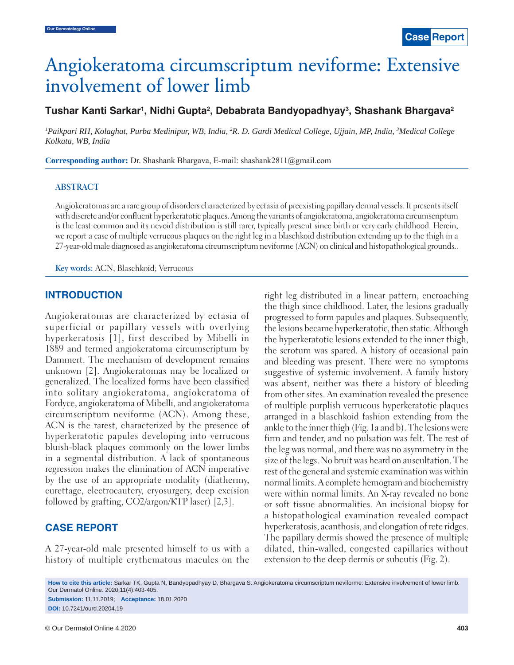# Angiokeratoma circumscriptum neviforme: Extensive<br>involvement of lower limb

involvement of lower limb nvolvement of lower **Tushar Kanti Sarkar1 , Nidhi Gupta2 , Debabrata Bandyopadhyay3 , Shashank Bhargava2**

*1 Paikpari RH, Kolaghat, Purba Medinipur, WB, India, 2 R. D. Gardi Medical College, Ujjain, MP, India, 3 Medical College Kolkata, WB, India*

**Corresponding author:** Dr. Shashank Bhargava, E-mail: shashank2811@gmail.com

#### **ABSTRACT**

Angiokeratomas are a rare group of disorders characterized by ectasia of preexisting papillary dermal vessels. It presents itself with discrete and/or confluent hyperkeratotic plaques. Among the variants of angiokeratoma, angiokeratoma circumscriptum is the least common and its nevoid distribution is still rarer, typically present since birth or very early childhood. Herein, we report a case of multiple verrucous plaques on the right leg in a blaschkoid distribution extending up to the thigh in a 27-year-old male diagnosed as angiokeratoma circumscriptum neviforme (ACN) on clinical and histopathological grounds..

**Key words:** ACN; Blaschkoid; Verrucous

## **INTRODUCTION**

Angiokeratomas are characterized by ectasia of superficial or papillary vessels with overlying hyperkeratosis [1], first described by Mibelli in 1889 and termed angiokeratoma circumscriptum by Dammert. The mechanism of development remains unknown [2]. Angiokeratomas may be localized or generalized. The localized forms have been classified into solitary angiokeratoma, angiokeratoma of Fordyce, angiokeratoma of Mibelli, and angiokeratoma circumscriptum neviforme (ACN). Among these, ACN is the rarest, characterized by the presence of hyperkeratotic papules developing into verrucous bluish-black plaques commonly on the lower limbs in a segmental distribution. A lack of spontaneous regression makes the elimination of ACN imperative by the use of an appropriate modality (diathermy, curettage, electrocautery, cryosurgery, deep excision followed by grafting, CO2/argon/KTP laser) [2,3].

## **CASE REPORT**

A 27-year-old male presented himself to us with a history of multiple erythematous macules on the right leg distributed in a linear pattern, encroaching the thigh since childhood. Later, the lesions gradually progressed to form papules and plaques. Subsequently, the lesions became hyperkeratotic, then static. Although the hyperkeratotic lesions extended to the inner thigh, the scrotum was spared. A history of occasional pain and bleeding was present. There were no symptoms suggestive of systemic involvement. A family history was absent, neither was there a history of bleeding from other sites. An examination revealed the presence of multiple purplish verrucous hyperkeratotic plaques arranged in a blaschkoid fashion extending from the ankle to the inner thigh (Fig. 1a and b). The lesions were firm and tender, and no pulsation was felt. The rest of the leg was normal, and there was no asymmetry in the size of the legs. No bruit was heard on auscultation. The rest of the general and systemic examination was within normal limits. A complete hemogram and biochemistry were within normal limits. An X-ray revealed no bone or soft tissue abnormalities. An incisional biopsy for a histopathological examination revealed compact hyperkeratosis, acanthosis, and elongation of rete ridges. The papillary dermis showed the presence of multiple dilated, thin-walled, congested capillaries without extension to the deep dermis or subcutis (Fig. 2).

**How to cite this article:** Sarkar TK, Gupta N, Bandyopadhyay D, Bhargava S. Angiokeratoma circumscriptum neviforme: Extensive involvement of lower limb. Our Dermatol Online. 2020;11(4):403-405.

**Submission:** 11.11.2019; **Acceptance:** 18.01.2020 **DOI:** 10.7241/ourd.20204.19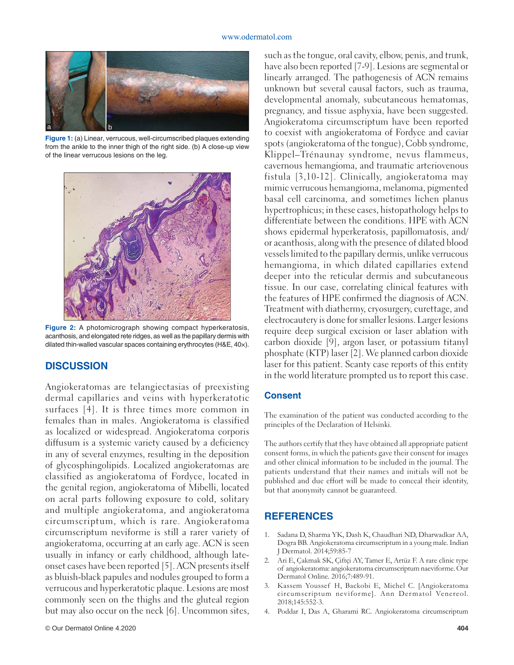#### www.odermatol.com



**Figure 1:** (a) Linear, verrucous, well-circumscribed plaques extending from the ankle to the inner thigh of the right side. (b) A close-up view of the linear verrucous lesions on the leg.



**Figure 2:** A photomicrograph showing compact hyperkeratosis, acanthosis, and elongated rete ridges, as well as the papillary dermis with dilated thin-walled vascular spaces containing erythrocytes (H&E, 40×).

## **DISCUSSION**

Angiokeratomas are telangiectasias of preexisting dermal capillaries and veins with hyperkeratotic surfaces [4]. It is three times more common in females than in males. Angiokeratoma is classified as localized or widespread. Angiokeratoma corporis diffusum is a systemic variety caused by a deficiency in any of several enzymes, resulting in the deposition of glycosphingolipids. Localized angiokeratomas are classified as angiokeratoma of Fordyce, located in the genital region, angiokeratoma of Mibelli, located on acral parts following exposure to cold, solitary and multiple angiokeratoma, and angiokeratoma circumscriptum, which is rare. Angiokeratoma circumscriptum neviforme is still a rarer variety of angiokeratoma, occurring at an early age. ACN is seen usually in infancy or early childhood, although lateonset cases have been reported [5]. ACN presents itself as bluish-black papules and nodules grouped to form a verrucous and hyperkeratotic plaque. Lesions are most commonly seen on the thighs and the gluteal region but may also occur on the neck [6]. Uncommon sites,

such as the tongue, oral cavity, elbow, penis, and trunk, have also been reported [7-9]. Lesions are segmental or linearly arranged. The pathogenesis of ACN remains unknown but several causal factors, such as trauma, developmental anomaly, subcutaneous hematomas, pregnancy, and tissue asphyxia, have been suggested. Angiokeratoma circumscriptum have been reported to coexist with angiokeratoma of Fordyce and caviar spots (angiokeratoma of the tongue), Cobb syndrome, Klippel–Trénaunay syndrome, nevus flammeus, cavernous hemangioma, and traumatic arteriovenous fistula [3,10-12]. Clinically, angiokeratoma may mimic verrucous hemangioma, melanoma, pigmented basal cell carcinoma, and sometimes lichen planus hypertrophicus; in these cases, histopathology helps to differentiate between the conditions. HPE with ACN shows epidermal hyperkeratosis, papillomatosis, and/ or acanthosis, along with the presence of dilated blood vessels limited to the papillary dermis, unlike verrucous hemangioma, in which dilated capillaries extend deeper into the reticular dermis and subcutaneous tissue. In our case, correlating clinical features with the features of HPE confirmed the diagnosis of ACN. Treatment with diathermy, cryosurgery, curettage, and electrocautery is done for smaller lesions. Larger lesions require deep surgical excision or laser ablation with carbon dioxide [9], argon laser, or potassium titanyl phosphate (KTP) laser [2]. We planned carbon dioxide laser for this patient. Scanty case reports of this entity in the world literature prompted us to report this case.

### **Consent**

The examination of the patient was conducted according to the principles of the Declaration of Helsinki.

The authors certify that they have obtained all appropriate patient consent forms, in which the patients gave their consent for images and other clinical information to be included in the journal. The patients understand that their names and initials will not be published and due effort will be made to conceal their identity, but that anonymity cannot be guaranteed.

## **REFERENCES**

- 1. Sadana D, Sharma YK, Dash K, Chaudhari ND, Dharwadkar AA, Dogra BB. Angiokeratoma circumscriptum in a young male. Indian J Dermatol. 2014;59:85-7
- 2. Ari E, Çakmak SK, Çiftçi AY, Tamer E, Artüz F. A rare clinic type of angiokeratoma: angiokeratoma circumscriptum naeviforme. Our Dermatol Online. 2016;7:489-91.
- 3. Kassem Youssef H, Backobi E, Michel C. [Angiokeratoma circumscriptum neviforme]. Ann Dermatol Venereol. 2018;145:552-3.
- 4. Poddar I, Das A, Gharami RC. Angiokeratoma circumscriptum